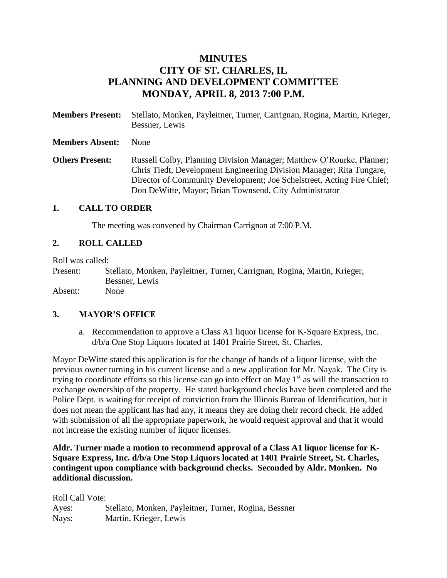# **MINUTES CITY OF ST. CHARLES, IL PLANNING AND DEVELOPMENT COMMITTEE MONDAY, APRIL 8, 2013 7:00 P.M.**

**Members Present:** Stellato, Monken, Payleitner, Turner, Carrignan, Rogina, Martin, Krieger, Bessner, Lewis **Members Absent:** None **Others Present:** Russell Colby, Planning Division Manager; Matthew O'Rourke, Planner; Chris Tiedt, Development Engineering Division Manager; Rita Tungare, Director of Community Development; Joe Schelstreet, Acting Fire Chief;

Don DeWitte, Mayor; Brian Townsend, City Administrator

#### **1. CALL TO ORDER**

The meeting was convened by Chairman Carrignan at 7:00 P.M.

### **2. ROLL CALLED**

Roll was called:

Present: Stellato, Monken, Payleitner, Turner, Carrignan, Rogina, Martin, Krieger, Bessner, Lewis Absent: None

### **3. MAYOR'S OFFICE**

a. Recommendation to approve a Class A1 liquor license for K-Square Express, Inc. d/b/a One Stop Liquors located at 1401 Prairie Street, St. Charles.

Mayor DeWitte stated this application is for the change of hands of a liquor license, with the previous owner turning in his current license and a new application for Mr. Nayak. The City is trying to coordinate efforts so this license can go into effect on May  $1<sup>st</sup>$  as will the transaction to exchange ownership of the property. He stated background checks have been completed and the Police Dept. is waiting for receipt of conviction from the Illinois Bureau of Identification, but it does not mean the applicant has had any, it means they are doing their record check. He added with submission of all the appropriate paperwork, he would request approval and that it would not increase the existing number of liquor licenses.

**Aldr. Turner made a motion to recommend approval of a Class A1 liquor license for K-Square Express, Inc. d/b/a One Stop Liquors located at 1401 Prairie Street, St. Charles, contingent upon compliance with background checks. Seconded by Aldr. Monken. No additional discussion.** 

Roll Call Vote: Ayes: Stellato, Monken, Payleitner, Turner, Rogina, Bessner Nays: Martin, Krieger, Lewis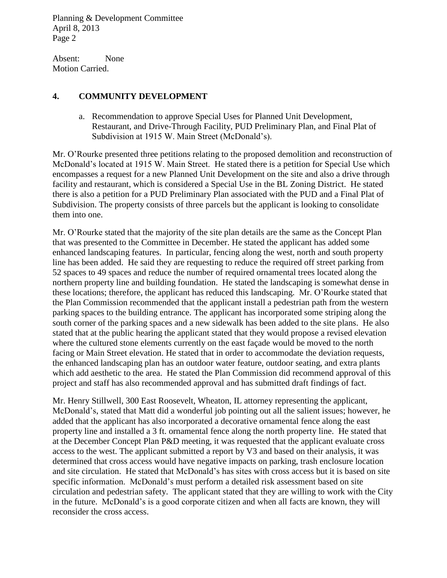Absent: None Motion Carried.

# **4. COMMUNITY DEVELOPMENT**

a. Recommendation to approve Special Uses for Planned Unit Development, Restaurant, and Drive-Through Facility, PUD Preliminary Plan, and Final Plat of Subdivision at 1915 W. Main Street (McDonald's).

Mr. O'Rourke presented three petitions relating to the proposed demolition and reconstruction of McDonald's located at 1915 W. Main Street. He stated there is a petition for Special Use which encompasses a request for a new Planned Unit Development on the site and also a drive through facility and restaurant, which is considered a Special Use in the BL Zoning District. He stated there is also a petition for a PUD Preliminary Plan associated with the PUD and a Final Plat of Subdivision. The property consists of three parcels but the applicant is looking to consolidate them into one.

Mr. O'Rourke stated that the majority of the site plan details are the same as the Concept Plan that was presented to the Committee in December. He stated the applicant has added some enhanced landscaping features. In particular, fencing along the west, north and south property line has been added. He said they are requesting to reduce the required off street parking from 52 spaces to 49 spaces and reduce the number of required ornamental trees located along the northern property line and building foundation. He stated the landscaping is somewhat dense in these locations; therefore, the applicant has reduced this landscaping. Mr. O'Rourke stated that the Plan Commission recommended that the applicant install a pedestrian path from the western parking spaces to the building entrance. The applicant has incorporated some striping along the south corner of the parking spaces and a new sidewalk has been added to the site plans. He also stated that at the public hearing the applicant stated that they would propose a revised elevation where the cultured stone elements currently on the east façade would be moved to the north facing or Main Street elevation. He stated that in order to accommodate the deviation requests, the enhanced landscaping plan has an outdoor water feature, outdoor seating, and extra plants which add aesthetic to the area. He stated the Plan Commission did recommend approval of this project and staff has also recommended approval and has submitted draft findings of fact.

Mr. Henry Stillwell, 300 East Roosevelt, Wheaton, IL attorney representing the applicant, McDonald's, stated that Matt did a wonderful job pointing out all the salient issues; however, he added that the applicant has also incorporated a decorative ornamental fence along the east property line and installed a 3 ft. ornamental fence along the north property line. He stated that at the December Concept Plan P&D meeting, it was requested that the applicant evaluate cross access to the west. The applicant submitted a report by V3 and based on their analysis, it was determined that cross access would have negative impacts on parking, trash enclosure location and site circulation. He stated that McDonald's has sites with cross access but it is based on site specific information. McDonald's must perform a detailed risk assessment based on site circulation and pedestrian safety. The applicant stated that they are willing to work with the City in the future. McDonald's is a good corporate citizen and when all facts are known, they will reconsider the cross access.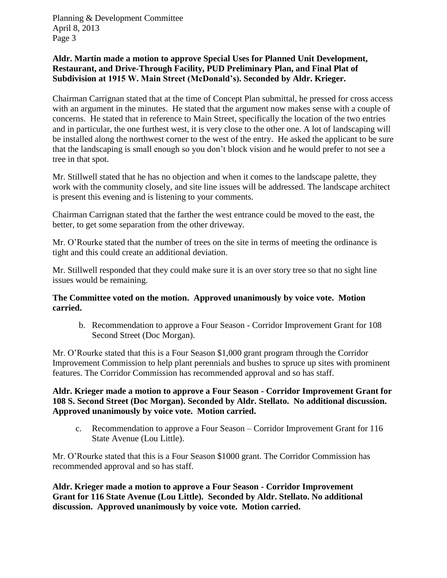## **Aldr. Martin made a motion to approve Special Uses for Planned Unit Development, Restaurant, and Drive-Through Facility, PUD Preliminary Plan, and Final Plat of Subdivision at 1915 W. Main Street (McDonald's). Seconded by Aldr. Krieger.**

Chairman Carrignan stated that at the time of Concept Plan submittal, he pressed for cross access with an argument in the minutes. He stated that the argument now makes sense with a couple of concerns. He stated that in reference to Main Street, specifically the location of the two entries and in particular, the one furthest west, it is very close to the other one. A lot of landscaping will be installed along the northwest corner to the west of the entry. He asked the applicant to be sure that the landscaping is small enough so you don't block vision and he would prefer to not see a tree in that spot.

Mr. Stillwell stated that he has no objection and when it comes to the landscape palette, they work with the community closely, and site line issues will be addressed. The landscape architect is present this evening and is listening to your comments.

Chairman Carrignan stated that the farther the west entrance could be moved to the east, the better, to get some separation from the other driveway.

Mr. O'Rourke stated that the number of trees on the site in terms of meeting the ordinance is tight and this could create an additional deviation.

Mr. Stillwell responded that they could make sure it is an over story tree so that no sight line issues would be remaining.

## **The Committee voted on the motion. Approved unanimously by voice vote. Motion carried.**

b. Recommendation to approve a Four Season - Corridor Improvement Grant for 108 Second Street (Doc Morgan).

Mr. O'Rourke stated that this is a Four Season \$1,000 grant program through the Corridor Improvement Commission to help plant perennials and bushes to spruce up sites with prominent features. The Corridor Commission has recommended approval and so has staff.

## **Aldr. Krieger made a motion to approve a Four Season - Corridor Improvement Grant for 108 S. Second Street (Doc Morgan). Seconded by Aldr. Stellato. No additional discussion. Approved unanimously by voice vote. Motion carried.**

c. Recommendation to approve a Four Season – Corridor Improvement Grant for 116 State Avenue (Lou Little).

Mr. O'Rourke stated that this is a Four Season \$1000 grant. The Corridor Commission has recommended approval and so has staff.

**Aldr. Krieger made a motion to approve a Four Season - Corridor Improvement Grant for 116 State Avenue (Lou Little). Seconded by Aldr. Stellato. No additional discussion. Approved unanimously by voice vote. Motion carried.**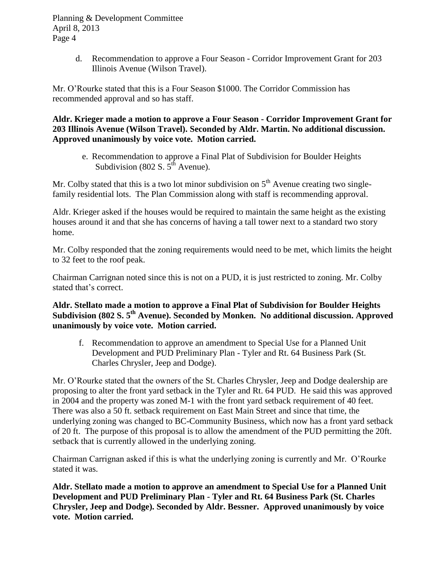> d. Recommendation to approve a Four Season - Corridor Improvement Grant for 203 Illinois Avenue (Wilson Travel).

Mr. O'Rourke stated that this is a Four Season \$1000. The Corridor Commission has recommended approval and so has staff.

**Aldr. Krieger made a motion to approve a Four Season - Corridor Improvement Grant for 203 Illinois Avenue (Wilson Travel). Seconded by Aldr. Martin. No additional discussion. Approved unanimously by voice vote. Motion carried.**

e. Recommendation to approve a Final Plat of Subdivision for Boulder Heights Subdivision (802 S.  $5^{th}$  Avenue).

Mr. Colby stated that this is a two lot minor subdivision on  $5<sup>th</sup>$  Avenue creating two singlefamily residential lots. The Plan Commission along with staff is recommending approval.

Aldr. Krieger asked if the houses would be required to maintain the same height as the existing houses around it and that she has concerns of having a tall tower next to a standard two story home.

Mr. Colby responded that the zoning requirements would need to be met, which limits the height to 32 feet to the roof peak.

Chairman Carrignan noted since this is not on a PUD, it is just restricted to zoning. Mr. Colby stated that's correct.

**Aldr. Stellato made a motion to approve a Final Plat of Subdivision for Boulder Heights Subdivision (802 S. 5th Avenue). Seconded by Monken. No additional discussion. Approved unanimously by voice vote. Motion carried.** 

f. Recommendation to approve an amendment to Special Use for a Planned Unit Development and PUD Preliminary Plan - Tyler and Rt. 64 Business Park (St. Charles Chrysler, Jeep and Dodge).

Mr. O'Rourke stated that the owners of the St. Charles Chrysler, Jeep and Dodge dealership are proposing to alter the front yard setback in the Tyler and Rt. 64 PUD. He said this was approved in 2004 and the property was zoned M-1 with the front yard setback requirement of 40 feet. There was also a 50 ft. setback requirement on East Main Street and since that time, the underlying zoning was changed to BC-Community Business, which now has a front yard setback of 20 ft. The purpose of this proposal is to allow the amendment of the PUD permitting the 20ft. setback that is currently allowed in the underlying zoning.

Chairman Carrignan asked if this is what the underlying zoning is currently and Mr. O'Rourke stated it was.

**Aldr. Stellato made a motion to approve an amendment to Special Use for a Planned Unit Development and PUD Preliminary Plan - Tyler and Rt. 64 Business Park (St. Charles Chrysler, Jeep and Dodge). Seconded by Aldr. Bessner. Approved unanimously by voice vote. Motion carried.**